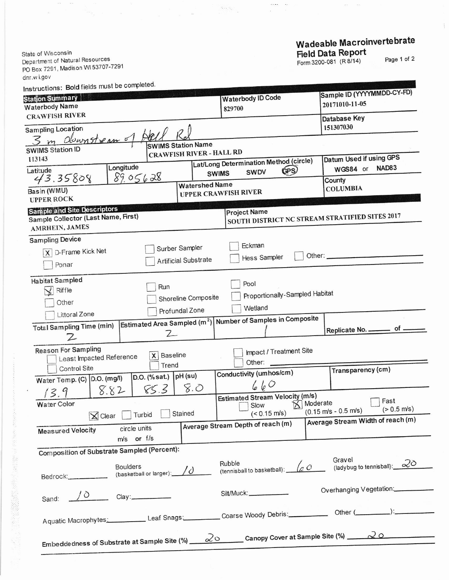Wadeable Macroinvertebrate Field Data Report

 $\sim$   $\sim$ 

 $\left\langle \zeta_{\alpha\beta} \right\rangle_{\alpha\beta} = \frac{1}{\beta}$ 

 $\sim$   $^{-1}$ 

Page 1 of 2

 $\mathbb T$ 

State of Wisconsin Department of Natural Resources PO Box 7291, Madison WI 53707-7291 dnr.wi.gov Instructions: Bold fields must be completed.

I

一、 计数据数据 医神经性神经

 $\label{eq:2.1} \mathbb{E}\left[\mathbb{E}\left[\mathbb{E}\left[\mathbb{E}\right]\right]\right] = \mathbb{E}\left[\mathbb{E}\left[\mathbb{E}\left[\mathbb{E}\right]\right]\right] \leq \mathbb{E}\left[\mathbb{E}\left[\mathbb{E}\left[\mathbb{E}\right]\right]\right]$ 

| nstructions: Dolumeius macre<br><b>Station Summary</b>                                                 |                                 | <b>Waterbody ID Code</b>                                                | Sample ID (YYYYMMDD-CY-FD)<br>20171010-11-05                    |
|--------------------------------------------------------------------------------------------------------|---------------------------------|-------------------------------------------------------------------------|-----------------------------------------------------------------|
| Waterbody Name                                                                                         |                                 | 829700                                                                  |                                                                 |
| <b>CRAWFISH RIVER</b>                                                                                  |                                 |                                                                         | Database Key                                                    |
| <b>Sampling Location</b>                                                                               |                                 |                                                                         | 151307030                                                       |
| m downstream of                                                                                        | <b>SWIMS Station Name</b>       |                                                                         |                                                                 |
| <b>SWIMS Station ID</b>                                                                                | <b>CRAWFISH RIVER - HALL RD</b> |                                                                         |                                                                 |
| 113143                                                                                                 | Datum Used if using GPS         |                                                                         |                                                                 |
| Longitude<br>Latitude                                                                                  | <b>SWIMS</b>                    | Lat/Long Determination Method (circle)<br>GPS)<br><b>SWDV</b>           | NAD83<br>WGS84 or                                               |
| 89.05628<br>43.35808                                                                                   | <b>Watershed Name</b>           | County                                                                  |                                                                 |
| Basin (WMU)<br><b>UPPER ROCK</b>                                                                       |                                 | <b>UPPER CRAWFISH RIVER</b>                                             | <b>COLUMBIA</b>                                                 |
| <b>Sample and Site Descriptors</b>                                                                     |                                 | <b>Project Name</b>                                                     |                                                                 |
| Sample Collector (Last Name, First)                                                                    |                                 | SOUTH DISTRICT NC STREAM STRATIFIED SITES 2017                          |                                                                 |
| AMRHEIN, JAMES                                                                                         |                                 |                                                                         |                                                                 |
| <b>Sampling Device</b>                                                                                 |                                 |                                                                         |                                                                 |
| X D-Frame Kick Net                                                                                     | Surber Sampler                  | Eckman                                                                  |                                                                 |
|                                                                                                        | <b>Artificial Substrate</b>     | <b>Hess Sampler</b>                                                     |                                                                 |
| Ponar                                                                                                  |                                 |                                                                         |                                                                 |
| Habitat Sampled                                                                                        |                                 |                                                                         |                                                                 |
| Riffle                                                                                                 | Run                             | Pool                                                                    |                                                                 |
|                                                                                                        | Shoreline Composite             | Proportionally-Sampled Habitat                                          |                                                                 |
| Other                                                                                                  | Profundal Zone                  | Wetland                                                                 |                                                                 |
| Littoral Zone                                                                                          |                                 | Estimated Area Sampled (m <sup>2</sup> ) Number of Samples in Composite |                                                                 |
| <b>Total Sampling Time (min)</b>                                                                       |                                 |                                                                         | Replicate No. ________ of _                                     |
| Ζ                                                                                                      | $2-$                            |                                                                         |                                                                 |
| <b>Reason For Sampling</b>                                                                             |                                 | Impact / Treatment Site                                                 |                                                                 |
| Least Impacted Reference                                                                               | <b>Baseline</b><br>X            |                                                                         |                                                                 |
| Control Site                                                                                           | Trend                           | Other:                                                                  | Transparency (cm)                                               |
| Water Temp. (C) D.O. (mg/l)                                                                            | $pH$ (su)<br>D.O. (% sat.)      | Conductivity (umhos/cm)                                                 |                                                                 |
| 8.82                                                                                                   | 8.0<br>85.3                     | 660                                                                     |                                                                 |
| 13.9                                                                                                   |                                 | <b>Estimated Stream Velocity (m/s)</b>                                  | Fast                                                            |
| Water Color                                                                                            |                                 | Moderate<br>Slow                                                        | $(> 0.5 \text{ m/s})$<br>$(0.15 \text{ m/s} - 0.5 \text{ m/s})$ |
| <b>i</b> Clear Turbid Stained                                                                          |                                 | $($ < 0.15 m/s)                                                         | Average Stream Width of reach (m)                               |
| circle units<br><b>Measured Velocity</b>                                                               |                                 | Average Stream Depth of reach (m)                                       |                                                                 |
| m/s or f/s                                                                                             |                                 |                                                                         |                                                                 |
| Composition of Substrate Sampled (Percent):                                                            |                                 |                                                                         |                                                                 |
|                                                                                                        |                                 |                                                                         | Gravel                                                          |
| <b>Boulders</b>                                                                                        |                                 | Rubble<br>(tennisball to basketball): $\sqrt{2}$ O                      | (ladybug to tennisball): $\overline{\mathcal{Q}}$               |
| Bedrock.                                                                                               | (basketball or larger): /       |                                                                         |                                                                 |
|                                                                                                        |                                 |                                                                         | Overhanging Vegetation:                                         |
| Sand: $\sqrt{0}$ Clay:                                                                                 |                                 | Silt/Muck:                                                              |                                                                 |
|                                                                                                        |                                 |                                                                         |                                                                 |
| Aquatic Macrophytes: Leaf Snags: Coarse Woody Debris: Other (Coarse Woody Debris: Community Community: |                                 |                                                                         |                                                                 |
|                                                                                                        |                                 |                                                                         |                                                                 |
| Embeddedness of Substrate at Sample Site (%) 20 Canopy Cover at Sample Site (%) 20 _____               |                                 |                                                                         |                                                                 |
|                                                                                                        |                                 |                                                                         |                                                                 |